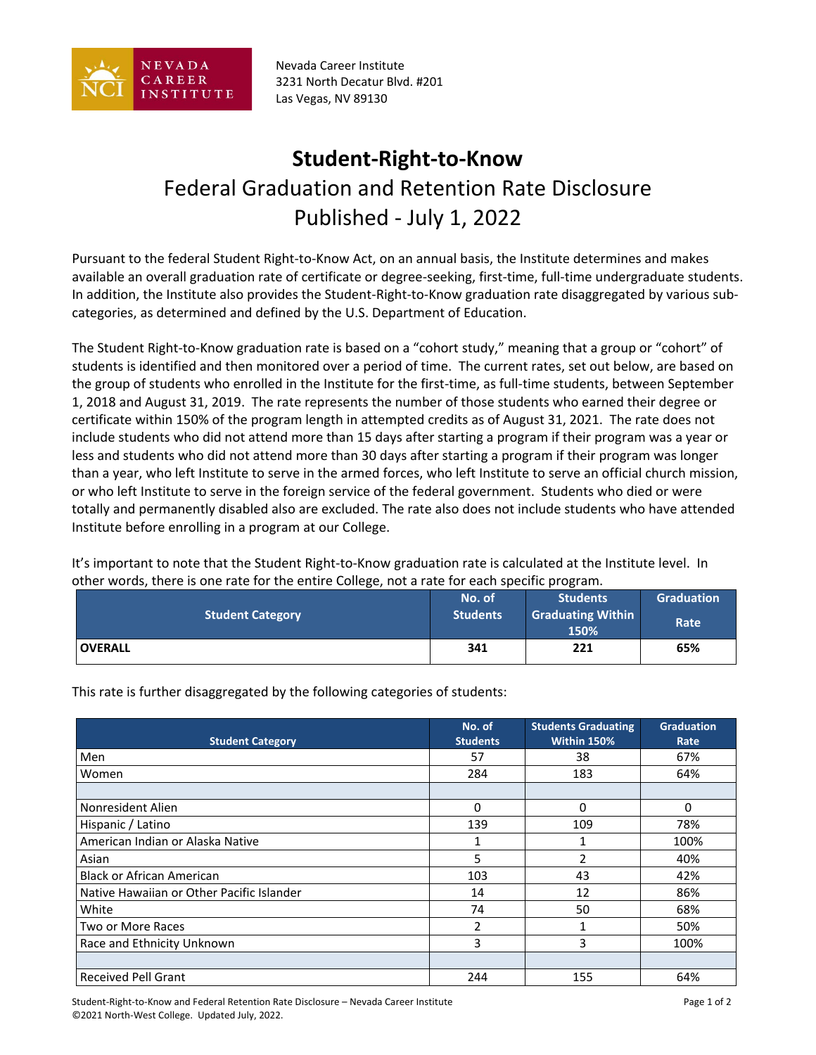

Nevada Career Institute 3231 North Decatur Blvd. #201 Las Vegas, NV 89130

## **Student-Right-to-Know** Federal Graduation and Retention Rate Disclosure Published - July 1, 2022

Pursuant to the federal Student Right-to-Know Act, on an annual basis, the Institute determines and makes available an overall graduation rate of certificate or degree-seeking, first-time, full-time undergraduate students. In addition, the Institute also provides the Student-Right-to-Know graduation rate disaggregated by various subcategories, as determined and defined by the U.S. Department of Education.

The Student Right-to-Know graduation rate is based on a "cohort study," meaning that a group or "cohort" of students is identified and then monitored over a period of time. The current rates, set out below, are based on the group of students who enrolled in the Institute for the first-time, as full-time students, between September 1, 2018 and August 31, 2019. The rate represents the number of those students who earned their degree or certificate within 150% of the program length in attempted credits as of August 31, 2021. The rate does not include students who did not attend more than 15 days after starting a program if their program was a year or less and students who did not attend more than 30 days after starting a program if their program was longer than a year, who left Institute to serve in the armed forces, who left Institute to serve an official church mission, or who left Institute to serve in the foreign service of the federal government. Students who died or were totally and permanently disabled also are excluded. The rate also does not include students who have attended Institute before enrolling in a program at our College.

It's important to note that the Student Right-to-Know graduation rate is calculated at the Institute level. In other words, there is one rate for the entire College, not a rate for each specific program.

| <b>Student Category</b> | No. of<br><b>Students</b> | <b>Students</b><br><b>Graduating Within</b><br>150% | <b>Graduation</b><br>Rate |
|-------------------------|---------------------------|-----------------------------------------------------|---------------------------|
| <b>OVERALL</b>          | 341                       | 221                                                 | 65%                       |

**Student Category No. of Students Students Graduating Within 150%**

This rate is further disaggregated by the following categories of students:

| <b>Student Category</b>                   | <b>Students</b> | Within 150% | Rate     |
|-------------------------------------------|-----------------|-------------|----------|
| Men                                       | 57              | 38          | 67%      |
| Women                                     | 284             | 183         | 64%      |
|                                           |                 |             |          |
| Nonresident Alien                         | $\Omega$        | 0           | $\Omega$ |
| Hispanic / Latino                         | 139             | 109         | 78%      |
| American Indian or Alaska Native          | 1               | 1           | 100%     |
| Asian                                     | 5               | 2           | 40%      |
| <b>Black or African American</b>          | 103             | 43          | 42%      |
| Native Hawaiian or Other Pacific Islander | 14              | 12          | 86%      |
| White                                     | 74              | 50          | 68%      |
| Two or More Races                         | 2               |             | 50%      |
| Race and Ethnicity Unknown                | 3               | 3           | 100%     |
|                                           |                 |             |          |
| <b>Received Pell Grant</b>                | 244             | 155         | 64%      |

Student-Right-to-Know and Federal Retention Rate Disclosure – Nevada Career Institute Page 1 of 2 ©2021 North-West College. Updated July, 2022.

**Graduation**